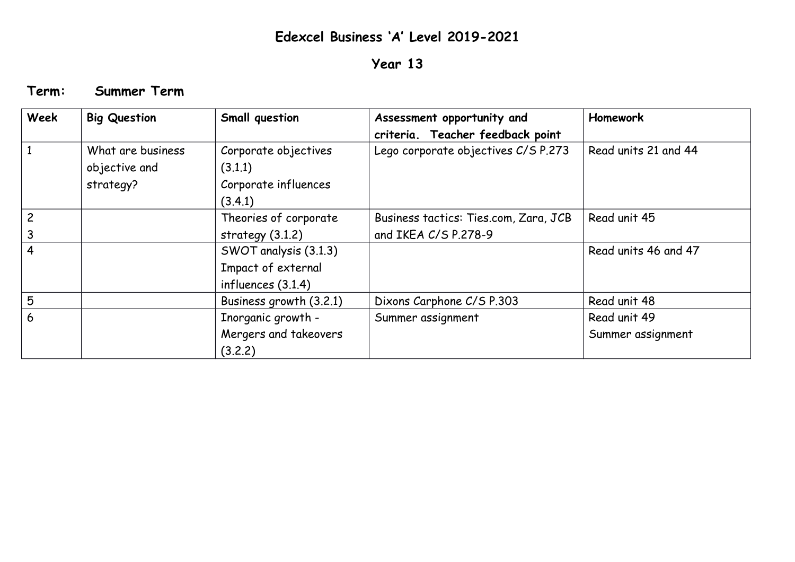## **Edexcel Business 'A' Level 2019-2021**

## **Year 13**

**Term: Summer Term**

| Week           | <b>Big Question</b>                             | Small question                                                      | Assessment opportunity and<br>criteria. Teacher feedback point | Homework                          |
|----------------|-------------------------------------------------|---------------------------------------------------------------------|----------------------------------------------------------------|-----------------------------------|
|                | What are business<br>objective and<br>strategy? | Corporate objectives<br>(3.1.1)<br>Corporate influences<br>(3.4.1)  | Lego corporate objectives C/S P.273                            | Read units 21 and 44              |
| $\overline{c}$ |                                                 | Theories of corporate<br>strategy $(3.1.2)$                         | Business tactics: Ties.com, Zara, JCB<br>and IKEA C/S P.278-9  | Read unit 45                      |
| 4              |                                                 | SWOT analysis (3.1.3)<br>Impact of external<br>influences $(3.1.4)$ |                                                                | Read units 46 and 47              |
| 5              |                                                 | Business growth (3.2.1)                                             | Dixons Carphone C/S P.303                                      | Read unit 48                      |
| 6              |                                                 | Inorganic growth -<br>Mergers and takeovers<br>(3.2.2)              | Summer assignment                                              | Read unit 49<br>Summer assignment |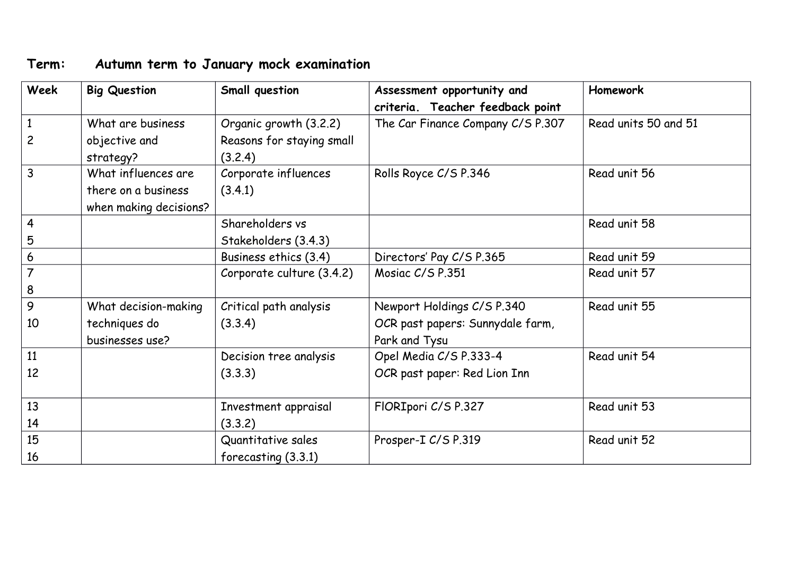## **Term: Autumn term to January mock examination**

| Week                           | <b>Big Question</b>                                                               | Small question                                      | Assessment opportunity and<br>criteria. Teacher feedback point | <b>Homework</b>      |
|--------------------------------|-----------------------------------------------------------------------------------|-----------------------------------------------------|----------------------------------------------------------------|----------------------|
| $\mathbf{1}$<br>$\overline{c}$ | What are business<br>objective and                                                | Organic growth (3.2.2)<br>Reasons for staying small | The Car Finance Company C/S P.307                              | Read units 50 and 51 |
| 3                              | strategy?<br>What influences are<br>there on a business<br>when making decisions? | (3.2.4)<br>Corporate influences<br>(3.4.1)          | Rolls Royce C/S P.346                                          | Read unit 56         |
| $\overline{4}$<br>5            |                                                                                   | Shareholders vs<br>Stakeholders (3.4.3)             |                                                                | Read unit 58         |
| 6                              |                                                                                   | Business ethics (3.4)                               | Directors' Pay C/S P.365                                       | Read unit 59         |
| $\overline{7}$<br>8            |                                                                                   | Corporate culture (3.4.2)                           | Mosiac C/S P.351                                               | Read unit 57         |
| 9                              | What decision-making                                                              | Critical path analysis                              | Newport Holdings C/S P.340                                     | Read unit 55         |
| 10                             | techniques do<br>businesses use?                                                  | (3.3.4)                                             | OCR past papers: Sunnydale farm,<br>Park and Tysu              |                      |
| 11                             |                                                                                   | Decision tree analysis                              | Opel Media C/S P.333-4                                         | Read unit 54         |
| 12                             |                                                                                   | (3.3.3)                                             | OCR past paper: Red Lion Inn                                   |                      |
| 13<br>14                       |                                                                                   | Investment appraisal<br>(3.3.2)                     | FIORIpori C/S P.327                                            | Read unit 53         |
| 15<br>16                       |                                                                                   | Quantitative sales<br>forecasting (3.3.1)           | Prosper-I C/S P.319                                            | Read unit 52         |